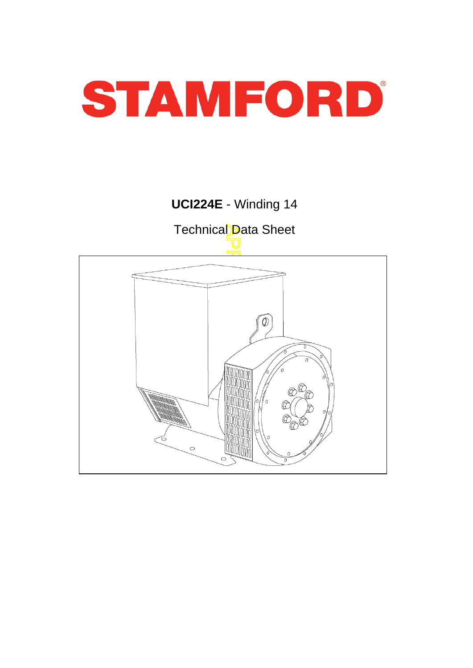

## **UCI224E** - Winding 14

Technical Data Sheet

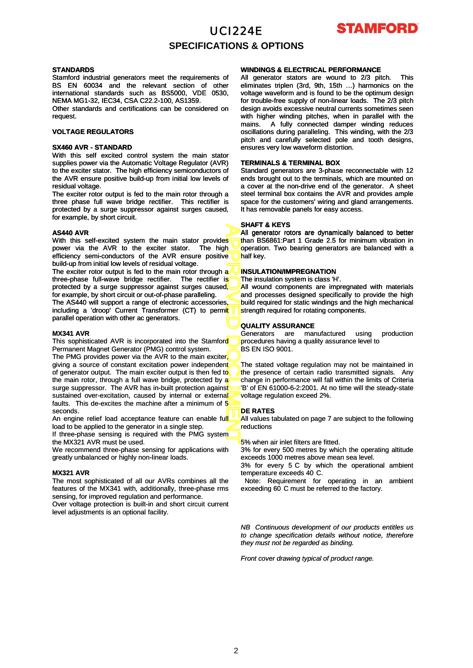

### **SPECIFICATIONS & OPTIONS**

#### **STANDARDS**

Stamford industrial generators meet the requirements of BS EN 60034 and the relevant section of other international standards such as BS5000, VDE 0530, NEMA MG1-32, IEC34, CSA C22.2-100, AS1359.

Other standards and certifications can be considered on request.

#### **VOLTAGE REGULATORS**

#### **SX460 AVR - STANDARD**

With this self excited control system the main stator supplies power via the Automatic Voltage Regulator (AVR) to the exciter stator. The high efficiency semiconductors of the AVR ensure positive build-up from initial low levels of residual voltage.

The exciter rotor output is fed to the main rotor through a three phase full wave bridge rectifier. This rectifier is protected by a surge suppressor against surges caused, for example, by short circuit.

#### **AS440 AVR**

With this self-excited system the main stator provides power via the AVR to the exciter stator. The high efficiency semi-conductors of the AVR ensure positive build-up from initial low levels of residual voltage.

The exciter rotor output is fed to the main rotor through a three-phase full-wave bridge rectifier. The rectifier is protected by a surge suppressor against surges caused, for example, by short circuit or out-of-phase paralleling.

The AS440 will support a range of electronic accessories,

including a 'droop' Current Transformer (CT) to permit parallel operation with other ac generators.

#### **MX341 AVR**

This sophisticated AVR is incorporated into the Stamford Permanent Magnet Generator (PMG) control system.

APPROVED DOCUMENT The PMG provides power via the AVR to the main exciter giving a source of constant excitation power independent of generator output. The main exciter output is then fed to the main rotor, through a full wave bridge, protected by a surge suppressor. The AVR has in-built protection against sustained over-excitation, caused by internal or external faults. This de-excites the machine after a minimum of 5 seconds.

An engine relief load acceptance feature can enable full load to be applied to the generator in a single step.

If three-phase sensing is required with the PMG system the MX321 AVR must be used.

We recommend three-phase sensing for applications with greatly unbalanced or highly non-linear loads.

#### **MX321 AVR**

The most sophisticated of all our AVRs combines all the features of the MX341 with, additionally, three-phase rms sensing, for improved regulation and performance.

Over voltage protection is built-in and short circuit current level adjustments is an optional facility.

#### **WINDINGS & ELECTRICAL PERFORMANCE**

All generator stators are wound to 2/3 pitch. eliminates triplen (3rd, 9th, 15th …) harmonics on the voltage waveform and is found to be the optimum design for trouble-free supply of non-linear loads. The 2/3 pitch design avoids excessive neutral currents sometimes seen with higher winding pitches, when in parallel with the mains. A fully connected damper winding reduces oscillations during paralleling. This winding, with the 2/3 pitch and carefully selected pole and tooth designs, ensures very low waveform distortion.

#### **TERMINALS & TERMINAL BOX**

Standard generators are 3-phase reconnectable with 12 ends brought out to the terminals, which are mounted on a cover at the non-drive end of the generator. A sheet steel terminal box contains the AVR and provides ample space for the customers' wiring and gland arrangements. It has removable panels for easy access.

#### **SHAFT & KEYS**

All generator rotors are dynamically balanced to better than BS6861:Part 1 Grade 2.5 for minimum vibration in operation. Two bearing generators are balanced with a half kev.

#### **INSULATION/IMPREGNATION**

The insulation system is class 'H'.

All wound components are impregnated with materials and processes designed specifically to provide the high build required for static windings and the high mechanical strength required for rotating components.

#### **QUALITY ASSURANCE QUALITY**

Generators are manufactured using production procedures having a quality assurance level to BS EN ISO 9001.

The stated voltage regulation may not be maintained in the presence of certain radio transmitted signals. Any change in performance will fall within the limits of Criteria 'B' of EN 61000-6-2:2001. At no time will the steady-state voltage regulation exceed 2%.

#### **DE RATES**

All values tabulated on page 7 are subject to the following reductions

5% when air inlet filters are fitted.

3% for every 500 metres by which the operating altitude exceeds 1000 metres above mean sea level.

3% for every 5 C by which the operational ambient temperature exceeds 40 C.

Note: Requirement for operating in an ambient exceeding 60 C must be referred to the factory.

*NB Continuous development of our products entitles us to change specification details without notice, therefore they must not be regarded as binding.*

*Front cover drawing typical of product range.*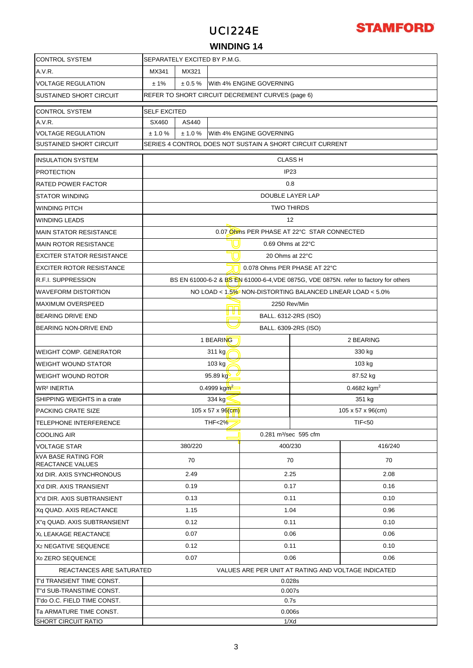## **STAMFORD**



### **WINDING 14**

| <b>CONTROL SYSTEM</b>                                 | SEPARATELY EXCITED BY P.M.G.                        |                                                           |                 |                                                           |      |                                                                                      |  |  |  |
|-------------------------------------------------------|-----------------------------------------------------|-----------------------------------------------------------|-----------------|-----------------------------------------------------------|------|--------------------------------------------------------------------------------------|--|--|--|
| A.V.R.                                                | MX341                                               | MX321                                                     |                 |                                                           |      |                                                                                      |  |  |  |
| <b>VOLTAGE REGULATION</b>                             | With 4% ENGINE GOVERNING<br>± 1%<br>± 0.5%          |                                                           |                 |                                                           |      |                                                                                      |  |  |  |
| <b>SUSTAINED SHORT CIRCUIT</b>                        | REFER TO SHORT CIRCUIT DECREMENT CURVES (page 6)    |                                                           |                 |                                                           |      |                                                                                      |  |  |  |
| <b>CONTROL SYSTEM</b>                                 | <b>SELF EXCITED</b>                                 |                                                           |                 |                                                           |      |                                                                                      |  |  |  |
| A.V.R.                                                | SX460                                               | AS440                                                     |                 |                                                           |      |                                                                                      |  |  |  |
| <b>VOLTAGE REGULATION</b>                             | ± 1.0%<br>± 1.0%<br>With 4% ENGINE GOVERNING        |                                                           |                 |                                                           |      |                                                                                      |  |  |  |
| <b>SUSTAINED SHORT CIRCUIT</b>                        |                                                     | SERIES 4 CONTROL DOES NOT SUSTAIN A SHORT CIRCUIT CURRENT |                 |                                                           |      |                                                                                      |  |  |  |
|                                                       |                                                     |                                                           |                 |                                                           |      |                                                                                      |  |  |  |
| <b>INSULATION SYSTEM</b>                              |                                                     | <b>CLASS H</b>                                            |                 |                                                           |      |                                                                                      |  |  |  |
| <b>PROTECTION</b>                                     |                                                     |                                                           |                 | IP <sub>23</sub>                                          |      |                                                                                      |  |  |  |
| <b>RATED POWER FACTOR</b>                             |                                                     |                                                           |                 | 0.8                                                       |      |                                                                                      |  |  |  |
| <b>STATOR WINDING</b>                                 |                                                     |                                                           |                 | DOUBLE LAYER LAP                                          |      |                                                                                      |  |  |  |
| <b>WINDING PITCH</b>                                  |                                                     |                                                           |                 | <b>TWO THIRDS</b>                                         |      |                                                                                      |  |  |  |
| <b>WINDING LEADS</b>                                  |                                                     |                                                           |                 | $12 \overline{ }$                                         |      |                                                                                      |  |  |  |
| <b>MAIN STATOR RESISTANCE</b>                         |                                                     |                                                           |                 | 0.07 Ohms PER PHASE AT 22°C STAR CONNECTED                |      |                                                                                      |  |  |  |
| <b>MAIN ROTOR RESISTANCE</b>                          |                                                     |                                                           |                 | 0.69 Ohms at 22°C                                         |      |                                                                                      |  |  |  |
| <b>EXCITER STATOR RESISTANCE</b>                      |                                                     |                                                           |                 | 20 Ohms at 22°C                                           |      |                                                                                      |  |  |  |
| <b>EXCITER ROTOR RESISTANCE</b>                       |                                                     |                                                           |                 | 0.078 Ohms PER PHASE AT 22°C                              |      |                                                                                      |  |  |  |
| <b>R.F.I. SUPPRESSION</b>                             |                                                     |                                                           |                 |                                                           |      | BS EN 61000-6-2 & BS EN 61000-6-4, VDE 0875G, VDE 0875N. refer to factory for others |  |  |  |
| <b>WAVEFORM DISTORTION</b>                            |                                                     |                                                           |                 | NO LOAD < 1.5% NON-DISTORTING BALANCED LINEAR LOAD < 5.0% |      |                                                                                      |  |  |  |
| <b>MAXIMUM OVERSPEED</b>                              |                                                     | 2250 Rev/Min<br>mo                                        |                 |                                                           |      |                                                                                      |  |  |  |
| <b>BEARING DRIVE END</b>                              |                                                     |                                                           | u u u           | BALL. 6312-2RS (ISO)                                      |      |                                                                                      |  |  |  |
| BEARING NON-DRIVE END                                 |                                                     |                                                           |                 | BALL. 6309-2RS (ISO)                                      |      |                                                                                      |  |  |  |
|                                                       |                                                     |                                                           | 1 BEARING       |                                                           |      | 2 BEARING                                                                            |  |  |  |
| WEIGHT COMP. GENERATOR                                | 311 kg<br>330 kg                                    |                                                           |                 |                                                           |      |                                                                                      |  |  |  |
| <b>WEIGHT WOUND STATOR</b>                            | 103 kg<br>103 kg                                    |                                                           |                 |                                                           |      |                                                                                      |  |  |  |
| <b>WEIGHT WOUND ROTOR</b>                             |                                                     | 95.89 kg<br>87.52 kg                                      |                 |                                                           |      |                                                                                      |  |  |  |
| <b>WR<sup>2</sup> INERTIA</b>                         |                                                     |                                                           | 0.4999 kg $m^2$ |                                                           |      | 0.4682 kgm <sup>2</sup>                                                              |  |  |  |
| SHIPPING WEIGHTS in a crate                           |                                                     | 334 kg<br>351 kg                                          |                 |                                                           |      |                                                                                      |  |  |  |
| PACKING CRATE SIZE                                    |                                                     | 105 x 57 x 96(cm)<br>105 x 57 x 96(cm)                    |                 |                                                           |      |                                                                                      |  |  |  |
| <b>TELEPHONE INTERFERENCE</b>                         |                                                     | <b>THF&lt;2%</b><br>TIF<50                                |                 |                                                           |      |                                                                                      |  |  |  |
| <b>COOLING AIR</b>                                    |                                                     |                                                           |                 | 0.281 m <sup>3</sup> /sec 595 cfm                         |      |                                                                                      |  |  |  |
| <b>VOLTAGE STAR</b>                                   |                                                     | 380/220                                                   |                 | 400/230                                                   |      | 416/240                                                                              |  |  |  |
| <b>kVA BASE RATING FOR</b>                            |                                                     | 70                                                        |                 | 70                                                        |      | 70                                                                                   |  |  |  |
| REACTANCE VALUES                                      |                                                     |                                                           |                 |                                                           |      |                                                                                      |  |  |  |
| Xd DIR. AXIS SYNCHRONOUS                              |                                                     | 2.49                                                      |                 | 2.25                                                      |      | 2.08                                                                                 |  |  |  |
| X'd DIR. AXIS TRANSIENT                               |                                                     | 0.19                                                      |                 | 0.17                                                      |      | 0.16                                                                                 |  |  |  |
| X"d DIR. AXIS SUBTRANSIENT                            |                                                     | 0.13                                                      |                 | 0.11                                                      |      | 0.10                                                                                 |  |  |  |
| Xq QUAD. AXIS REACTANCE                               |                                                     | 1.15                                                      |                 | 1.04                                                      |      | 0.96                                                                                 |  |  |  |
| X"q QUAD. AXIS SUBTRANSIENT                           |                                                     | 0.12                                                      |                 | 0.11                                                      |      | 0.10                                                                                 |  |  |  |
| XL LEAKAGE REACTANCE                                  | 0.07<br>0.06                                        |                                                           |                 |                                                           | 0.06 |                                                                                      |  |  |  |
| X <sub>2</sub> NEGATIVE SEQUENCE                      | 0.11<br>0.10<br>0.12                                |                                                           |                 |                                                           |      |                                                                                      |  |  |  |
| X <sub>0</sub> ZERO SEQUENCE                          | 0.07<br>0.06<br>0.06                                |                                                           |                 |                                                           |      |                                                                                      |  |  |  |
| REACTANCES ARE SATURATED                              | VALUES ARE PER UNIT AT RATING AND VOLTAGE INDICATED |                                                           |                 |                                                           |      |                                                                                      |  |  |  |
| T'd TRANSIENT TIME CONST.                             | 0.028s                                              |                                                           |                 |                                                           |      |                                                                                      |  |  |  |
| T"d SUB-TRANSTIME CONST.                              | 0.007s                                              |                                                           |                 |                                                           |      |                                                                                      |  |  |  |
| T'do O.C. FIELD TIME CONST.                           |                                                     |                                                           |                 | 0.7s                                                      |      |                                                                                      |  |  |  |
| Ta ARMATURE TIME CONST.<br><b>SHORT CIRCUIT RATIO</b> | 0.006s<br>1/Xd                                      |                                                           |                 |                                                           |      |                                                                                      |  |  |  |
|                                                       |                                                     |                                                           |                 |                                                           |      |                                                                                      |  |  |  |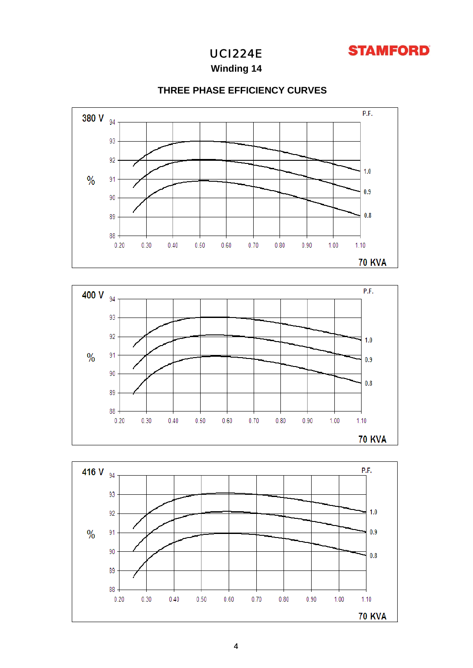

**Winding 14**



## **THREE PHASE EFFICIENCY CURVES**



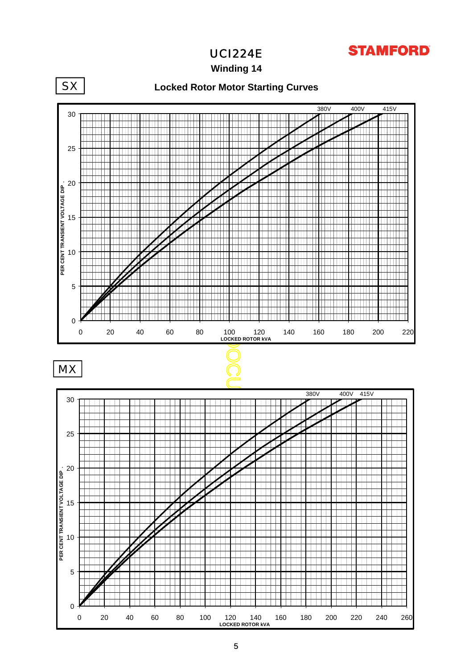

**Winding 14**

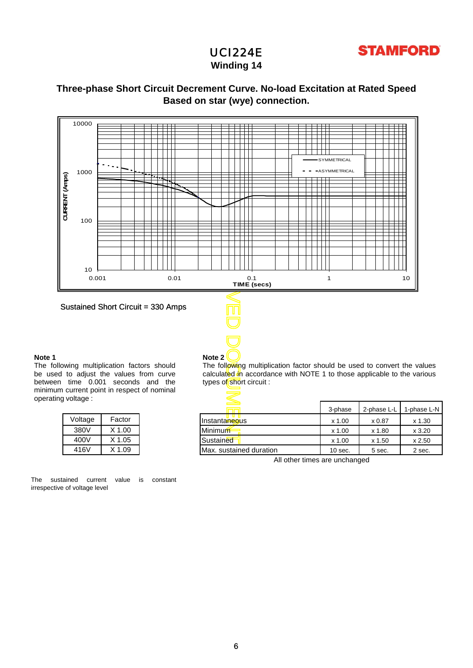

## **Winding 14**

## **Based on star (wye) connection. Three-phase Short Circuit Decrement Curve. No-load Excitation at Rated Speed**



**Note 2**

Sustained Short Circuit = 330 Amps

### **Note 1**

The following multiplication factors should be used to adjust the values from curve between time 0.001 seconds and the minimum current point in respect of nominal operating voltage :

| Voltage | Factor   |
|---------|----------|
| 380V    | $X$ 1.00 |
| 400V    | $X$ 1.05 |
| 416V    | $X$ 1.09 |

The sustained current value is constant irrespective of voltage level

The following multiplication factor should be used to convert the values calculated in accordance with NOTE 1 to those applicable to the various types of short circuit :

| oilaye . |          |                             |           |             |             |
|----------|----------|-----------------------------|-----------|-------------|-------------|
|          |          | $\equiv$<br><b>Research</b> | 3-phase   | 2-phase L-L | 1-phase L-N |
| Voltage  | Factor   | Instanta <del>neo</del> us  | $x$ 1.00  | x 0.87      | $x$ 1.30    |
| 380V     | $X$ 1.00 | Minimum                     | $x$ 1.00  | x 1.80      | x3.20       |
| 400V     | X 1.05   | Sustained                   | $x$ 1.00  | x 1.50      | x 2.50      |
| 416V     | X 1.09   | Max. sustained duration     | $10$ sec. | 5 sec.      | 2 sec.      |

All other times are unchanged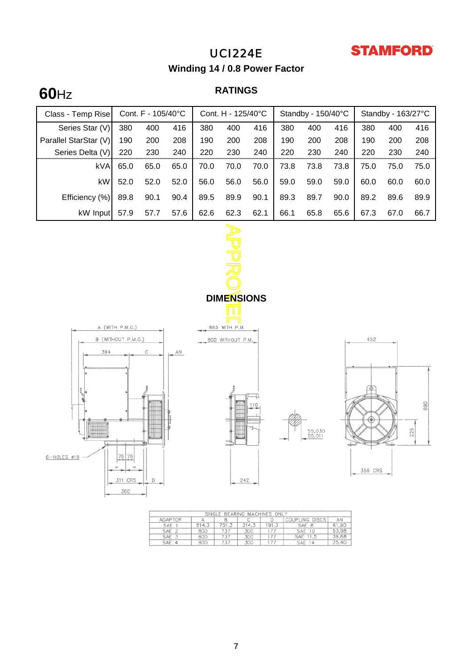

**Winding 14 / 0.8 Power Factor**

# **RATINGS 60**Hz

| Class - Temp Rise     | Cont. $F - 105/40^{\circ}C$ |      |      | Cont. H - $125/40^{\circ}$ C |      |      | Standby - $150/40^{\circ}$ C |      |      | Standby - 163/27°C |      |      |
|-----------------------|-----------------------------|------|------|------------------------------|------|------|------------------------------|------|------|--------------------|------|------|
| Series Star (V)       | 380                         | 400  | 416  | 380                          | 400  | 416  | 380                          | 400  | 416  | 380                | 400  | 416  |
| Parallel StarStar (V) | 190                         | 200  | 208  | 190                          | 200  | 208  | 190                          | 200  | 208  | 190                | 200  | 208  |
| Series Delta (V)      | 220                         | 230  | 240  | 220                          | 230  | 240  | 220                          | 230  | 240  | 220                | 230  | 240  |
| kVA                   | 65.0                        | 65.0 | 65.0 | 70.0                         | 70.0 | 70.0 | 73.8                         | 73.8 | 73.8 | 75.0               | 75.0 | 75.0 |
| kW                    | 52.0                        | 52.0 | 52.0 | 56.0                         | 56.0 | 56.0 | 59.0                         | 59.0 | 59.0 | 60.0               | 60.0 | 60.0 |
| Efficiency (%)        | 89.8                        | 90.1 | 90.4 | 89.5                         | 89.9 | 90.1 | 89.3                         | 89.7 | 90.0 | 89.2               | 89.6 | 89.9 |
| kW Input              | 57.9                        | 57.7 | 57.6 | 62.6                         | 62.3 | 62.1 | 66.1                         | 65.8 | 65.6 | 67.3               | 67.0 | 66.7 |
|                       |                             |      |      |                              |      |      |                              |      |      |                    |      |      |



311 CRS

360

 $\mathsf{D}$ 



865 WITH P.M.



55,030<br>55,011

|         |       |       | SINGLE BEARING MACHINES ONLY |       |                  |       |
|---------|-------|-------|------------------------------|-------|------------------|-------|
| ADAPTOR |       |       | C                            |       | COUPLING DISCS   | AN    |
| SAE     | 814.3 | 751.3 | 314.3                        | 191.3 | SAF B            | 61.90 |
| SAE 2   | 800   | 737   | 300                          | 175   | SAF 10           | 53.98 |
| SAE 3   | 800   | 737   | 300                          | 177   | SAE 11,5         | 39.68 |
| SAE 4   | 800   | 737   | 300                          |       | <b>SAE</b><br>14 | 25.40 |